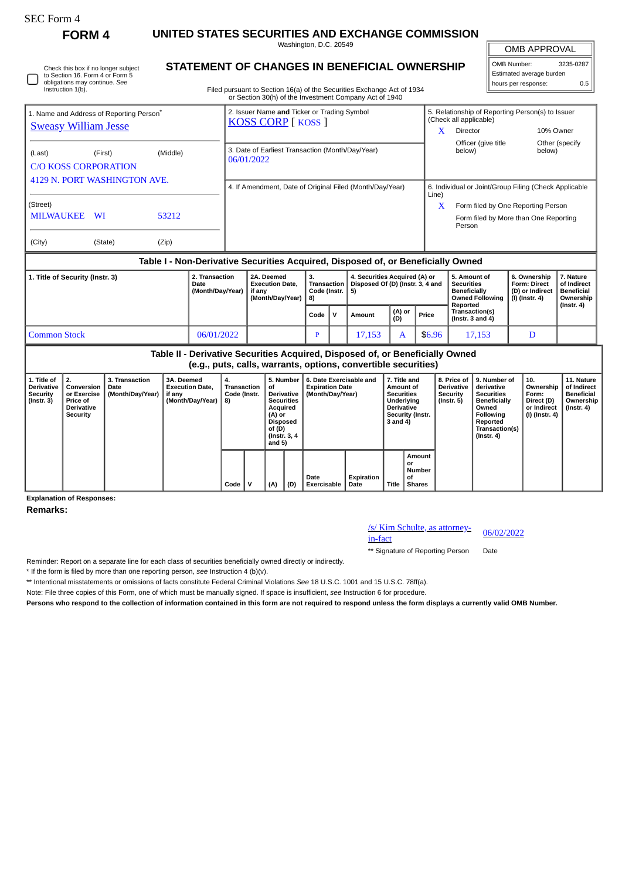| EC Form |
|---------|
|---------|

Instruction 1(b).

Check this box if no longer subject to Section 16. Form 4 or Form 5 obligations may continue. *See*

**FORM 4 UNITED STATES SECURITIES AND EXCHANGE COMMISSION** Washington, D.C. 20549

**STATEMENT OF CHANGES IN BENEFICIAL OWNERSHIP**

OMB APPROVAL

| OMB Number:              | 3235-0287 |  |  |  |  |  |  |  |  |
|--------------------------|-----------|--|--|--|--|--|--|--|--|
| Estimated average burden |           |  |  |  |  |  |  |  |  |
| hours per response:      | 0.5       |  |  |  |  |  |  |  |  |

Filed pursuant to Section 16(a) of the Securities Exchange Act of 1934 or Section 30(h) of the Investment Company Act of 1940

|                                                                                     |           |          | or Section So(ii) or the investment Company Act or 1940                  |                                                                            |  |  |  |  |  |
|-------------------------------------------------------------------------------------|-----------|----------|--------------------------------------------------------------------------|----------------------------------------------------------------------------|--|--|--|--|--|
| 1. Name and Address of Reporting Person <sup>®</sup><br><b>Sweasy William Jesse</b> |           |          | 2. Issuer Name and Ticker or Trading Symbol<br><b>KOSS CORP</b> [ KOSS ] | 5. Relationship of Reporting Person(s) to Issuer<br>(Check all applicable) |  |  |  |  |  |
|                                                                                     |           |          |                                                                          | x<br>10% Owner<br>Director                                                 |  |  |  |  |  |
| (Last)<br><b>C/O KOSS CORPORATION</b>                                               | (First)   | (Middle) | 3. Date of Earliest Transaction (Month/Day/Year)<br>06/01/2022           | Officer (give title<br>Other (specify<br>below)<br>below)                  |  |  |  |  |  |
| 4129 N. PORT WASHINGTON AVE.                                                        |           |          | 4. If Amendment, Date of Original Filed (Month/Day/Year)                 | 6. Individual or Joint/Group Filing (Check Applicable<br>Line)             |  |  |  |  |  |
| (Street)                                                                            |           |          |                                                                          | x<br>Form filed by One Reporting Person                                    |  |  |  |  |  |
| <b>MILWAUKEE</b>                                                                    | <b>WI</b> | 53212    |                                                                          | Form filed by More than One Reporting<br>Person                            |  |  |  |  |  |
| (City)                                                                              | (State)   | (Zip)    |                                                                          |                                                                            |  |  |  |  |  |

## **Table I - Non-Derivative Securities Acquired, Disposed of, or Beneficially Owned**

| 1. Title of Security (Instr. 3) | 2. Transaction<br>Date<br>(Month/Day/Year) | 2A. Deemed<br><b>Execution Date.</b><br>if anv<br>(Month/Dav/Year) | з.<br><b>∣Transaction</b> I<br>, Code (Instr. ∣5)<br>-8) |    | 4. Securities Acquired (A) or<br>Disposed Of (D) (Instr. 3, 4 and |               |        | 5. Amount of<br><b>Securities</b><br><b>Beneficially</b><br><b>Owned Following</b><br>Reported | 6. Ownership<br><b>Form: Direct</b><br>(D) or Indirect<br>(I) (Instr. 4) | . Nature<br>of Indirect<br><b>Beneficial</b><br>Ownership |
|---------------------------------|--------------------------------------------|--------------------------------------------------------------------|----------------------------------------------------------|----|-------------------------------------------------------------------|---------------|--------|------------------------------------------------------------------------------------------------|--------------------------------------------------------------------------|-----------------------------------------------------------|
|                                 |                                            |                                                                    | Code                                                     | ١V | Amount                                                            | (A) or<br>(D) | Price  | <b>Transaction(s)</b><br>( $Instr. 3 and 4$ )                                                  |                                                                          | $($ Instr. 4 $)$                                          |
| <b>Common Stock</b>             | 06/01/2022                                 |                                                                    |                                                          |    | 17,153                                                            |               | \$6.96 | 17.153                                                                                         |                                                                          |                                                           |

| Table II - Derivative Securities Acquired, Disposed of, or Beneficially Owned<br>(e.g., puts, calls, warrants, options, convertible securities) |                                                                              |                                            |                                                                    |                                         |  |                                                                                                                                         |     |                                                                       |                    |                                                                                                                   |                                               |                                                                  |                                                                                                                                                |                                                                            |                                                                                 |
|-------------------------------------------------------------------------------------------------------------------------------------------------|------------------------------------------------------------------------------|--------------------------------------------|--------------------------------------------------------------------|-----------------------------------------|--|-----------------------------------------------------------------------------------------------------------------------------------------|-----|-----------------------------------------------------------------------|--------------------|-------------------------------------------------------------------------------------------------------------------|-----------------------------------------------|------------------------------------------------------------------|------------------------------------------------------------------------------------------------------------------------------------------------|----------------------------------------------------------------------------|---------------------------------------------------------------------------------|
| 1. Title of<br><b>Derivative</b><br><b>Security</b><br>$($ Instr. 3 $)$                                                                         | 2.<br>Conversion<br>or Exercise<br>Price of<br><b>Derivative</b><br>Security | 3. Transaction<br>Date<br>(Month/Day/Year) | 3A. Deemed<br><b>Execution Date.</b><br>if any<br>(Month/Day/Year) | 4.<br>Transaction<br>Code (Instr.<br>8) |  | 5. Number<br>οf<br><b>Derivative</b><br><b>Securities</b><br>Acquired<br>(A) or<br><b>Disposed</b><br>of (D)<br>(Instr. 3, 4)<br>and 5) |     | 6. Date Exercisable and<br><b>Expiration Date</b><br>(Month/Day/Year) |                    | 7. Title and<br>Amount of<br><b>Securities</b><br>Underlying<br><b>Derivative</b><br>Security (Instr.<br>3 and 4) |                                               | 8. Price of<br><b>Derivative</b><br>Security<br>$($ Instr. 5 $)$ | 9. Number of<br>derivative<br><b>Securities</b><br><b>Beneficially</b><br>Owned<br>Following<br>Reported<br>Transaction(s)<br>$($ Instr. 4 $)$ | 10.<br>Ownership<br>Form:<br>Direct (D)<br>or Indirect<br>  (I) (Instr. 4) | 11. Nature<br>of Indirect<br><b>Beneficial</b><br>Ownership<br>$($ Instr. 4 $)$ |
|                                                                                                                                                 |                                                                              |                                            |                                                                    | Code                                    |  | (A)                                                                                                                                     | (D) | Date<br>Exercisable                                                   | Expiration<br>Date | Title                                                                                                             | Amount<br>or<br>Number<br>οf<br><b>Shares</b> |                                                                  |                                                                                                                                                |                                                                            |                                                                                 |

## **Explanation of Responses:**

**Remarks:**

## /s/ Kim Schulte, as attorney-<br>in-fact

\*\* Signature of Reporting Person Date

Reminder: Report on a separate line for each class of securities beneficially owned directly or indirectly.

\* If the form is filed by more than one reporting person, *see* Instruction 4 (b)(v).

\*\* Intentional misstatements or omissions of facts constitute Federal Criminal Violations *See* 18 U.S.C. 1001 and 15 U.S.C. 78ff(a).

Note: File three copies of this Form, one of which must be manually signed. If space is insufficient, *see* Instruction 6 for procedure.

**Persons who respond to the collection of information contained in this form are not required to respond unless the form displays a currently valid OMB Number.**